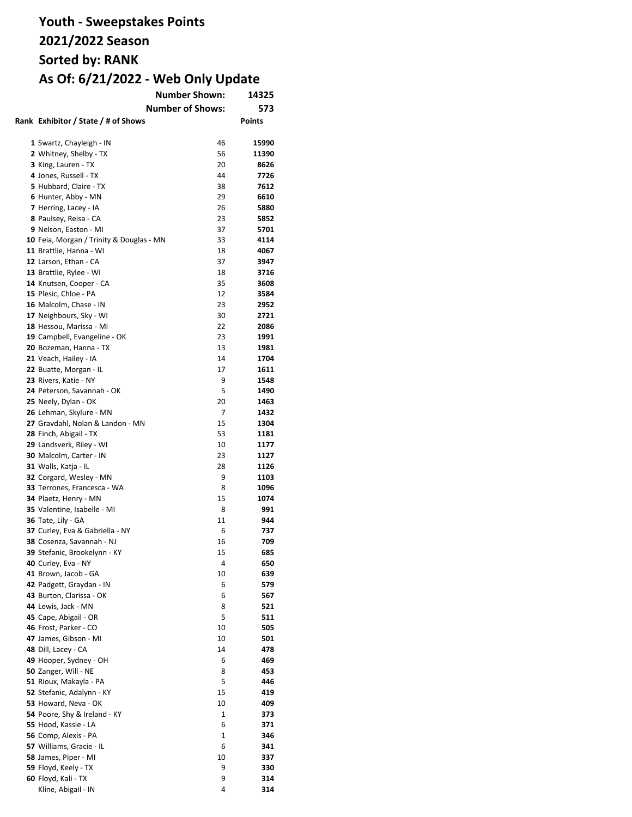|                                          | <b>Number Shown:</b>    | 14325        |
|------------------------------------------|-------------------------|--------------|
|                                          | <b>Number of Shows:</b> | 573          |
| Rank Exhibitor / State / # of Shows      |                         | Points       |
|                                          |                         |              |
| 1 Swartz, Chayleigh - IN                 | 46                      | 15990        |
| 2 Whitney, Shelby - TX                   | 56                      | 11390        |
| 3 King, Lauren - TX                      | 20                      | 8626         |
| 4 Jones, Russell - TX                    | 44                      | 7726         |
| 5 Hubbard, Claire - TX                   | 38                      | 7612         |
| 6 Hunter, Abby - MN                      | 29                      | 6610         |
| 7 Herring, Lacey - IA                    | 26                      | 5880         |
| 8 Paulsey, Reisa - CA                    | 23                      | 5852         |
| 9 Nelson, Easton - MI                    | 37                      | 5701         |
| 10 Feia, Morgan / Trinity & Douglas - MN | 33                      | 4114         |
| 11 Brattlie, Hanna - WI                  | 18                      | 4067         |
| 12 Larson, Ethan - CA                    | 37                      | 3947         |
| 13 Brattlie, Rylee - WI                  | 18                      | 3716         |
| 14 Knutsen, Cooper - CA                  | 35                      | 3608         |
| 15 Plesic, Chloe - PA                    | 12                      | 3584         |
| 16 Malcolm, Chase - IN                   | 23                      | 2952         |
| 17 Neighbours, Sky - WI                  | 30                      | 2721         |
| 18 Hessou, Marissa - MI                  | 22                      | 2086         |
| 19 Campbell, Evangeline - OK             | 23                      | 1991         |
| 20 Bozeman, Hanna - TX                   | 13                      | 1981         |
| 21 Veach, Hailey - IA                    | 14                      | 1704         |
|                                          | 17                      | 1611         |
| 22 Buatte, Morgan - IL                   | 9                       | 1548         |
| 23 Rivers, Katie - NY                    |                         |              |
| 24 Peterson, Savannah - OK               | 5                       | 1490         |
| 25 Neely, Dylan - OK                     | 20<br>7                 | 1463<br>1432 |
| 26 Lehman, Skylure - MN                  |                         |              |
| 27 Gravdahl, Nolan & Landon - MN         | 15                      | 1304         |
| 28 Finch, Abigail - TX                   | 53                      | 1181         |
| 29 Landsverk, Riley - WI                 | 10                      | 1177         |
| 30 Malcolm, Carter - IN                  | 23                      | 1127         |
| 31 Walls, Katja - IL                     | 28                      | 1126         |
| 32 Corgard, Wesley - MN                  | 9                       | 1103         |
| 33 Terrones, Francesca - WA              | 8                       | 1096         |
| 34 Plaetz, Henry - MN                    | 15                      | 1074         |
| 35 Valentine, Isabelle - MI              | 8<br>11                 | 991          |
| 36 Tate, Lily - GA                       |                         | 944          |
| 37 Curley, Eva & Gabriella - NY          | 6                       | 737          |
| 38 Cosenza, Savannah - NJ                | 16                      | 709<br>685   |
| 39 Stefanic. Brookelvnn - KY             | 15                      |              |
| 40 Curley, Eva - NY                      | 4                       | 650          |
| 41 Brown, Jacob - GA                     | 10                      | 639          |
| 42 Padgett, Graydan - IN                 | 6                       | 579          |
| 43 Burton, Clarissa - OK                 | 6                       | 567          |
| 44 Lewis, Jack - MN                      | 8                       | 521          |
| 45 Cape, Abigail - OR                    | 5                       | 511          |
| 46 Frost, Parker - CO                    | 10                      | 505          |
| 47 James, Gibson - MI                    | 10                      | 501          |
| 48 Dill, Lacey - CA                      | 14                      | 478          |
| 49 Hooper, Sydney - OH                   | 6                       | 469          |
| 50 Zanger, Will - NE                     | 8                       | 453          |
| 51 Rioux, Makayla - PA                   | 5                       | 446          |
| 52 Stefanic, Adalynn - KY                | 15                      | 419          |
| 53 Howard, Neva - OK                     | 10                      | 409          |
| 54 Poore, Shy & Ireland - KY             | 1                       | 373          |
| 55 Hood, Kassie - LA                     | 6                       | 371          |
| 56 Comp, Alexis - PA                     | 1                       | 346          |
| 57 Williams, Gracie - IL                 | 6                       | 341          |
| 58 James, Piper - MI                     | 10                      | 337          |
| 59 Floyd, Keely - TX                     | 9                       | 330          |
| 60 Floyd, Kali - TX                      | 9                       | 314          |
| Kline, Abigail - IN                      | 4                       | 314          |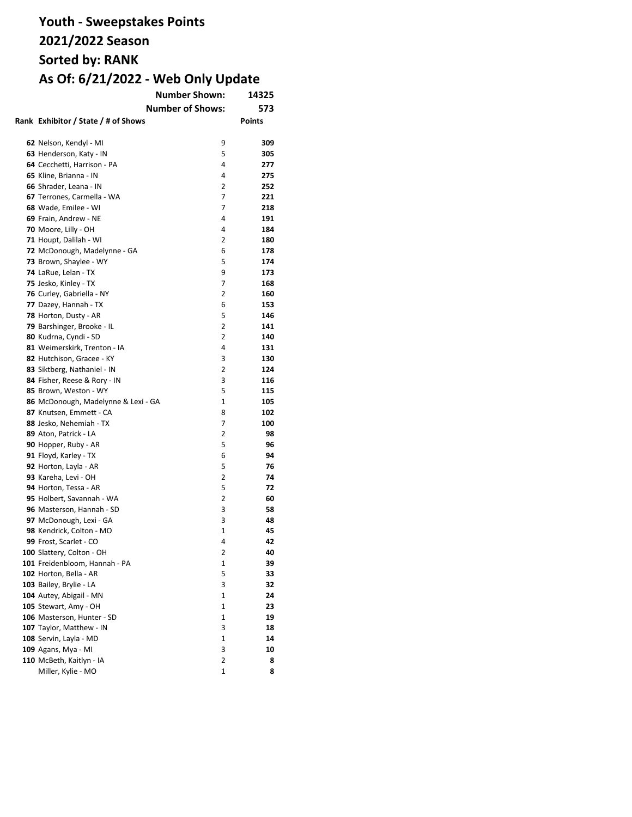| <b>Number Shown:</b>                |                | 14325         |
|-------------------------------------|----------------|---------------|
| <b>Number of Shows:</b>             |                | 573           |
| Rank Exhibitor / State / # of Shows |                | <b>Points</b> |
|                                     |                |               |
| 62 Nelson, Kendyl - MI              | 9              | 309           |
| 63 Henderson, Katy - IN             | 5              | 305           |
| 64 Cecchetti, Harrison - PA         | 4              | 277           |
| 65 Kline, Brianna - IN              | 4              | 275           |
| 66 Shrader, Leana - IN              | 2              | 252           |
| 67 Terrones, Carmella - WA          | 7              | 221           |
| 68 Wade, Emilee - WI                | 7              | 218           |
| 69 Frain, Andrew - NE               | 4              | 191           |
| 70 Moore, Lilly - OH                | 4              | 184           |
| 71 Houpt, Dalilah - WI              | 2              | 180           |
| 72 McDonough, Madelynne - GA        | 6              | 178           |
| 73 Brown, Shaylee - WY              | 5              | 174           |
| 74 LaRue, Lelan - TX                | 9              | 173           |
| 75 Jesko, Kinley - TX               | 7              | 168           |
| 76 Curley, Gabriella - NY           | 2              | 160           |
| 77 Dazey, Hannah - TX               | 6              | 153           |
| 78 Horton, Dusty - AR               | 5              | 146           |
| 79 Barshinger, Brooke - IL          | $\overline{2}$ | 141           |
| 80 Kudrna, Cyndi - SD               | 2              | 140           |
| 81 Weimerskirk, Trenton - IA        | 4              | 131           |
| 82 Hutchison, Gracee - KY           | 3              | 130           |
| 83 Siktberg, Nathaniel - IN         | $\overline{2}$ | 124           |
| 84 Fisher, Reese & Rory - IN        | 3              | 116           |
| 85 Brown, Weston - WY               | 5              | 115           |
| 86 McDonough, Madelynne & Lexi - GA | $\mathbf{1}$   | 105           |
| 87 Knutsen, Emmett - CA             | 8              | 102           |
| 88 Jesko, Nehemiah - TX             | 7              | 100           |
| 89 Aton, Patrick - LA               | 2              | 98            |
| 90 Hopper, Ruby - AR                | 5              | 96            |
| 91 Floyd, Karley - TX               | 6              | 94            |
| 92 Horton, Layla - AR               | 5              | 76            |
| 93 Kareha, Levi - OH                | 2              | 74            |
| 94 Horton, Tessa - AR               | 5              | 72            |
| 95 Holbert, Savannah - WA           | 2              | 60            |
| 96 Masterson, Hannah - SD           | 3              | 58            |
| 97 McDonough, Lexi - GA             | 3              | 48            |
| 98 Kendrick, Colton - MO            | $\mathbf{1}$   | 45            |
| 99 Frost, Scarlet - CO              | 4              | 42            |
| 100 Slattery, Colton - OH           | 2              | 40            |
| 101 Freidenbloom, Hannah - PA       | 1              | 39            |
| 102 Horton, Bella - AR              | 5              | 33            |
| 103 Bailey, Brylie - LA             | 3              | 32            |
| 104 Autey, Abigail - MN             | 1              | 24            |
| 105 Stewart, Amy - OH               | 1              | 23            |
| 106 Masterson, Hunter - SD          | 1              | 19            |
| 107 Taylor, Matthew - IN            | 3              | 18            |
| 108 Servin, Layla - MD              | 1              | 14            |
| 109 Agans, Mya - MI                 | 3              | 10            |
| 110 McBeth, Kaitlyn - IA            | 2              | 8             |
| Miller, Kylie - MO                  | 1              | 8             |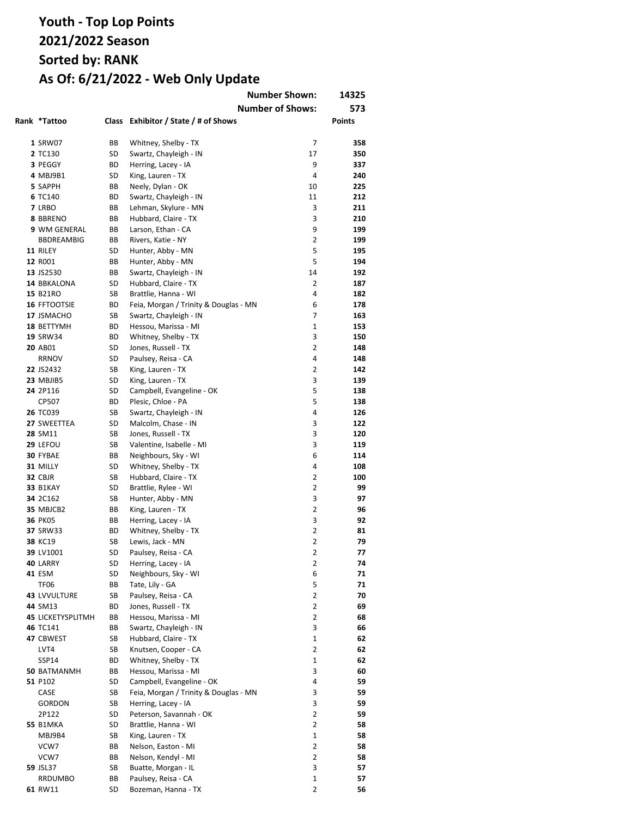|                          |          |                                            | <b>Number Shown:</b>    | 14325         |
|--------------------------|----------|--------------------------------------------|-------------------------|---------------|
|                          |          |                                            | <b>Number of Shows:</b> | 573           |
| Rank *Tattoo             | Class    | Exhibitor / State / # of Shows             |                         | <b>Points</b> |
| 1 SRW07                  | ВB       | Whitney, Shelby - TX                       | 7                       | 358           |
| 2 TC130                  | SD       | Swartz, Chayleigh - IN                     | 17                      | 350           |
| 3 PEGGY                  | BD       | Herring, Lacey - IA                        | 9                       | 337           |
| 4 MBJ9B1                 | SD       | King, Lauren - TX                          | 4                       | 240           |
| 5 SAPPH                  | ВB       | Neely, Dylan - OK                          | 10                      | 225           |
| 6 TC140                  | ВD       | Swartz, Chayleigh - IN                     | 11                      | 212           |
| 7 LRBO                   | ВB       | Lehman, Skylure - MN                       | 3                       | 211           |
| 8 BBRENO                 | ВB       | Hubbard, Claire - TX                       | 3                       | 210           |
| 9 WM GENERAL             | ВB       | Larson, Ethan - CA                         | 9                       | 199           |
| <b>BBDREAMBIG</b>        | ВB       | Rivers, Katie - NY                         | $\overline{2}$          | 199           |
| 11 RILEY                 | SD       | Hunter, Abby - MN                          | 5                       | 195           |
| 12 R001                  | ВB       | Hunter, Abby - MN                          | 5                       | 194           |
| 13 JS2530                | ВB       | Swartz, Chayleigh - IN                     | 14                      | 192           |
| 14 BBKALONA              | SD       | Hubbard, Claire - TX                       | $\overline{2}$          | 187           |
| 15 B21RO                 | SB       | Brattlie, Hanna - WI                       | 4                       | 182           |
| 16 FFTOOTSIE             | ВD       | Feia, Morgan / Trinity & Douglas - MN      | 6                       | 178           |
| 17 JSMACHO               | SB       | Swartz, Chayleigh - IN                     | 7                       | 163           |
| 18 BETTYMH               | ВD       | Hessou, Marissa - MI                       | 1                       | 153           |
| 19 SRW34                 | ВD       | Whitney, Shelby - TX                       | 3                       | 150           |
| 20 AB01                  | SD       | Jones, Russell - TX                        | $\overline{2}$          | 148           |
| <b>RRNOV</b>             | SD       | Paulsey, Reisa - CA                        | 4                       | 148           |
| 22 JS2432                | SB       | King, Lauren - TX                          | $\overline{2}$          | 142           |
| 23 MBJIB5                | SD       | King, Lauren - TX                          | 3                       | 139           |
| 24 2P116                 | SD       | Campbell, Evangeline - OK                  | 5                       | 138           |
| CP507                    | ВD       | Plesic, Chloe - PA                         | 5                       | 138           |
| <b>26 TC039</b>          | SB       | Swartz, Chayleigh - IN                     | 4                       | 126           |
| 27 SWEETTEA              | SD       | Malcolm, Chase - IN                        | 3                       | 122           |
| 28 SM11                  | SB       | Jones, Russell - TX                        | 3                       | 120           |
| 29 LEFOU                 | SB       | Valentine, Isabelle - MI                   | 3                       | 119           |
| 30 FYBAE                 | ВB       | Neighbours, Sky - WI                       | 6                       | 114           |
| 31 MILLY                 | SD       | Whitney, Shelby - TX                       | 4                       | 108           |
| 32 CBJR                  | SB       | Hubbard, Claire - TX                       | $\overline{2}$          | 100           |
| <b>33 B1KAY</b>          | SD       | Brattlie, Rylee - WI                       | 2                       | 99            |
| 34 2C162                 | SB       | Hunter, Abby - MN                          | 3                       | 97            |
| 35 MBJCB2                | ВB       | King, Lauren - TX                          | 2                       | 96            |
| <b>36 PK05</b>           | ВB       | Herring, Lacey - IA                        | 3                       | 92            |
| <b>37 SRW33</b>          | ВD       | Whitney, Shelby - TX                       | 2                       | 81            |
| 38 KC19                  | SB       | Lewis, Jack - MN                           | 2                       | 79            |
| 39 LV1001                | SD       | Paulsey, Reisa - CA                        | $\overline{2}$          | 77            |
| 40 LARRY                 | SD       | Herring, Lacey - IA                        | 2                       | 74            |
| 41 ESM                   | SD       | Neighbours, Sky - WI                       | 6                       | 71            |
| TF06                     | ВB       | Tate, Lily - GA                            | 5                       | 71            |
| 43 LVVULTURE             | SB       | Paulsey, Reisa - CA                        | $\overline{2}$          | 70            |
| 44 SM13                  | ВD       | Jones, Russell - TX                        | $\overline{2}$          | 69            |
| <b>45 LICKETYSPLITMH</b> | ВB       | Hessou, Marissa - MI                       | $\overline{2}$          | 68            |
| 46 TC141                 | ВB       | Swartz, Chayleigh - IN                     | 3                       | 66            |
| 47 CBWEST                | SB       | Hubbard, Claire - TX                       | 1                       | 62            |
| LVT4                     | SB       | Knutsen, Cooper - CA                       | $\overline{2}$          | 62            |
| <b>SSP14</b>             | BD       | Whitney, Shelby - TX                       | 1                       | 62            |
| <b>50 BATMANMH</b>       | ВB       | Hessou, Marissa - MI                       | 3                       | 60            |
| 51 P102                  | SD       | Campbell, Evangeline - OK                  | 4                       | 59            |
| CASE                     | SB       | Feia, Morgan / Trinity & Douglas - MN      | 3                       | 59            |
| <b>GORDON</b>            | SB       | Herring, Lacey - IA                        | 3                       | 59            |
| 2P122                    | SD       | Peterson, Savannah - OK                    | $\overline{2}$          | 59            |
| <b>55 B1MKA</b>          | SD       | Brattlie, Hanna - WI                       | 2                       | 58            |
| MBJ9B4                   | SB       | King, Lauren - TX                          | $\mathbf{1}$            | 58            |
| VCW7                     | ВB       | Nelson, Easton - MI                        | $\overline{2}$<br>2     | 58            |
| VCW7<br>59 JSL37         | ВB<br>SB | Nelson, Kendyl - MI                        | 3                       | 58<br>57      |
| RRDUMBO                  | ВB       | Buatte, Morgan - IL<br>Paulsey, Reisa - CA | 1                       | 57            |
| 61 RW11                  | SD       | Bozeman, Hanna - TX                        | 2                       | 56            |
|                          |          |                                            |                         |               |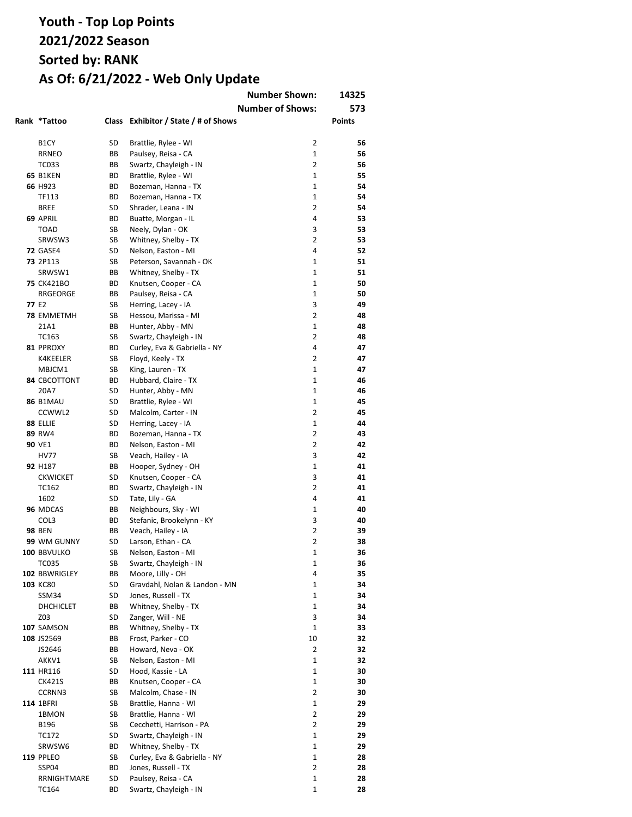|                   |           |                                      | <b>Number Shown:</b><br><b>Number of Shows:</b> | 14325<br>573  |
|-------------------|-----------|--------------------------------------|-------------------------------------------------|---------------|
| Rank *Tattoo      |           | Class Exhibitor / State / # of Shows |                                                 | <b>Points</b> |
| B <sub>1</sub> CY | SD        | Brattlie, Rylee - WI                 | 2                                               | 56            |
| <b>RRNEO</b>      | ВB        | Paulsey, Reisa - CA                  | 1                                               | 56            |
| TC033             | BB        | Swartz, Chayleigh - IN               | $\overline{2}$                                  | 56            |
| <b>65 B1KEN</b>   | ВD        | Brattlie, Rylee - WI                 | $\mathbf{1}$                                    | 55            |
| 66 H923           | <b>BD</b> | Bozeman, Hanna - TX                  | $\mathbf{1}$                                    | 54            |
| TF113             | <b>BD</b> | Bozeman, Hanna - TX                  | $\mathbf{1}$                                    | 54            |
| <b>BREE</b>       | SD        | Shrader, Leana - IN                  | $\overline{2}$                                  | 54            |
| 69 APRIL          | <b>BD</b> | Buatte, Morgan - IL                  | 4                                               | 53            |
| <b>TOAD</b>       | SB        | Neely, Dylan - OK                    | 3                                               | 53            |
| SRWSW3            | SB        | Whitney, Shelby - TX                 | $\overline{2}$                                  | 53            |
| <b>72 GASE4</b>   | SD        | Nelson, Easton - MI                  | 4                                               | 52            |
| <b>73 2P113</b>   | <b>SB</b> | Peterson, Savannah - OK              | $\mathbf{1}$                                    | 51            |
| SRWSW1            | ВB        | Whitney, Shelby - TX                 | $\mathbf{1}$                                    | 51            |
| <b>75 CK421BO</b> | ВD        | Knutsen, Cooper - CA                 | $\mathbf{1}$                                    | 50            |
| RRGEORGE          | ВB        | Paulsey, Reisa - CA                  | $\mathbf{1}$                                    | 50            |
| 77 E <sub>2</sub> | SB        | Herring, Lacey - IA                  | 3                                               | 49            |
| <b>78 EMMETMH</b> | SB        | Hessou, Marissa - MI                 | $\overline{2}$                                  | 48            |
| 21A1              | ВB        | Hunter, Abby - MN                    | $\mathbf{1}$                                    | 48            |
| TC163             | SB        | Swartz, Chayleigh - IN               | $\overline{2}$                                  | 48            |
| 81 PPROXY         | ВD        | Curley, Eva & Gabriella - NY         | 4                                               | 47            |
| K4KEELER          | SB        | Floyd, Keely - TX                    | 2                                               | 47            |
| MBJCM1            | SB        | King, Lauren - TX                    | 1                                               | 47            |
| 84 CBCOTTONT      | ВD        | Hubbard, Claire - TX                 | $\mathbf{1}$                                    | 46            |
| 20A7              | SD        | Hunter, Abby - MN                    | 1                                               | 46            |
| <b>86 B1MAU</b>   | SD        | Brattlie, Rylee - WI                 | $\mathbf{1}$                                    | 45            |
| CCWWL2            | SD        | Malcolm, Carter - IN                 | $\overline{2}$                                  | 45            |
| 88 ELLIE          | SD        | Herring, Lacey - IA                  | $\mathbf{1}$                                    | 44            |
| 89 RW4            | ВD        | Bozeman, Hanna - TX                  | $\overline{2}$                                  | 43            |
| 90 VE1            | ВD        | Nelson, Easton - MI                  | $\overline{2}$                                  | 42            |
| <b>HV77</b>       | SB        | Veach, Hailey - IA                   | 3                                               | 42            |
| 92 H187           | BB        | Hooper, Sydney - OH                  | 1                                               | 41            |
| <b>CKWICKET</b>   | SD        | Knutsen, Cooper - CA                 | 3                                               | 41            |
| TC162             | ВD        | Swartz, Chayleigh - IN               | $\overline{2}$                                  | 41            |
| 1602              | SD        | Tate, Lily - GA                      | 4                                               | 41            |
| 96 MDCAS          | ВB        | Neighbours, Sky - WI                 | $\mathbf{1}$                                    | 40            |
| COL3              | ВD        | Stefanic, Brookelynn - KY            | 3                                               | 40            |
| <b>98 BEN</b>     | ВB        | Veach, Hailey - IA                   | $\overline{2}$                                  | 39            |
| 99 WM GUNNY       | SD        | Larson, Ethan - CA                   | $\overline{2}$                                  | 38            |
| 100 BBVULKO       | SB        | Nelson, Easton - MI                  | 1                                               | 36            |
| TC035             | SB        | Swartz, Chayleigh - IN               | 1                                               | 36            |
| 102 BBWRIGLEY     | ВB        | Moore, Lilly - OH                    | 4                                               | 35            |
| 103 KC80          | SD        | Gravdahl, Nolan & Landon - MN        | 1                                               | 34            |
| SSM34             | SD        | Jones, Russell - TX                  | 1                                               | 34            |
| <b>DHCHICLET</b>  | ВB        | Whitney, Shelby - TX                 | 1                                               | 34            |
| Z03               | SD        | Zanger, Will - NE                    | 3                                               | 34            |
| 107 SAMSON        | ВB        | Whitney, Shelby - TX                 | 1                                               | 33            |
| 108 JS2569        | ВB        | Frost, Parker - CO                   | 10                                              | 32            |
| JS2646            | ВB        | Howard, Neva - OK                    | 2                                               | 32            |
| AKKV1             | SB        | Nelson, Easton - MI                  | $\mathbf{1}$                                    | 32            |
| 111 HR116         | SD        | Hood, Kassie - LA                    | 1                                               | 30            |
| CK421S            | ВB        | Knutsen, Cooper - CA                 | 1                                               | 30            |
| CCRNN3            | SB        | Malcolm, Chase - IN                  | $\overline{2}$                                  | 30            |
| 114 1BFRI         | SB        | Brattlie, Hanna - WI                 | $\mathbf{1}$                                    | 29            |
| 1BMON             | SB        | Brattlie, Hanna - WI                 | 2                                               | 29            |
| B196              | SB        | Cecchetti, Harrison - PA             | 2                                               | 29            |
| TC172             | SD        | Swartz, Chayleigh - IN               | 1                                               | 29            |
| SRWSW6            | BD        | Whitney, Shelby - TX                 | $\mathbf{1}$                                    | 29            |
| <b>119 PPLEO</b>  | SB        | Curley, Eva & Gabriella - NY         | 1                                               | 28            |
| SSP04             | BD        | Jones, Russell - TX                  | 2                                               | 28            |
| RRNIGHTMARE       | SD        | Paulsey, Reisa - CA                  | 1                                               | 28            |
| TC164             | BD        | Swartz, Chayleigh - IN               | $\mathbf 1$                                     | 28            |
|                   |           |                                      |                                                 |               |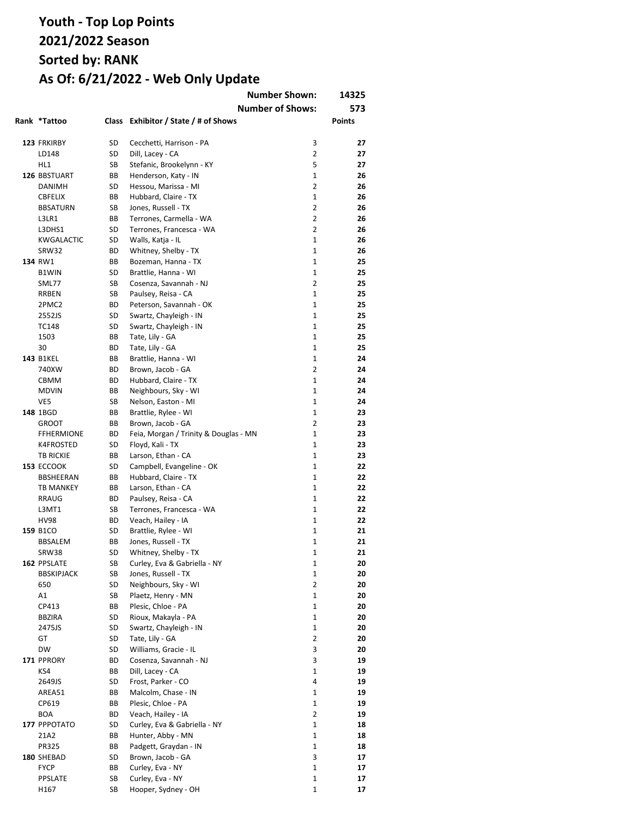|                        |          |                                          | <b>Number Shown:</b><br><b>Number of Shows:</b> | 14325<br>573  |
|------------------------|----------|------------------------------------------|-------------------------------------------------|---------------|
| Rank *Tattoo           |          | Class Exhibitor / State / # of Shows     |                                                 | <b>Points</b> |
| 123 FRKIRBY            | SD       | Cecchetti, Harrison - PA                 | 3                                               | 27            |
| LD148                  | SD       | Dill, Lacey - CA                         | $\overline{2}$                                  | 27            |
| HL1                    | SB       | Stefanic, Brookelynn - KY                | 5                                               | 27            |
| 126 BBSTUART           | ВB       | Henderson, Katy - IN                     | $\mathbf{1}$                                    | 26            |
| DANIMH                 | SD       | Hessou, Marissa - MI                     | $\overline{2}$                                  | 26            |
| <b>CBFELIX</b>         | ВB       | Hubbard, Claire - TX                     | $\mathbf{1}$                                    | 26            |
| <b>BBSATURN</b>        | SB       | Jones, Russell - TX                      | $\overline{2}$                                  | 26            |
| L3LR1                  | ВB       | Terrones, Carmella - WA                  | $\overline{2}$                                  | 26            |
| L3DHS1                 | SD       | Terrones, Francesca - WA                 | $\overline{2}$                                  | 26            |
| KWGALACTIC             | SD       | Walls, Katja - IL                        | $\mathbf{1}$                                    | 26            |
| SRW32                  | BD       | Whitney, Shelby - TX                     | $\mathbf{1}$                                    | 26            |
| 134 RW1                | ВB       | Bozeman, Hanna - TX                      | $\mathbf{1}$                                    | 25            |
| <b>B1WIN</b>           | SD       | Brattlie, Hanna - WI                     | $\mathbf{1}$                                    | 25            |
| SML77                  | SB       | Cosenza, Savannah - NJ                   | $\overline{2}$                                  | 25            |
| RRBEN                  | SB       | Paulsey, Reisa - CA                      | $\mathbf{1}$                                    | 25            |
| 2PMC2                  | BD       | Peterson, Savannah - OK                  | $\mathbf{1}$                                    | 25            |
| 2552JS                 | SD       | Swartz, Chayleigh - IN                   | $\mathbf{1}$                                    | 25            |
| TC148                  | SD       | Swartz, Chayleigh - IN                   | $\mathbf{1}$                                    | 25            |
| 1503                   | ВB       | Tate, Lily - GA                          | $\mathbf{1}$<br>$\mathbf{1}$                    | 25            |
| 30<br><b>143 B1KEL</b> | BD       | Tate, Lily - GA<br>Brattlie, Hanna - WI  | $\mathbf{1}$                                    | 25<br>24      |
| 740XW                  | ВB<br>BD | Brown, Jacob - GA                        | $\overline{2}$                                  | 24            |
| <b>CBMM</b>            | BD       | Hubbard, Claire - TX                     | 1                                               | 24            |
| <b>MDVIN</b>           | ВB       | Neighbours, Sky - WI                     | $\mathbf{1}$                                    | 24            |
| VE5                    | SB       | Nelson, Easton - MI                      | $\mathbf{1}$                                    | 24            |
| 148 1BGD               | ВB       | Brattlie, Rylee - WI                     | $\mathbf{1}$                                    | 23            |
| <b>GROOT</b>           | ВB       | Brown, Jacob - GA                        | $\overline{2}$                                  | 23            |
| <b>FFHERMIONE</b>      | ВD       | Feia, Morgan / Trinity & Douglas - MN    | $\mathbf{1}$                                    | 23            |
| K4FROSTED              | SD       | Floyd, Kali - TX                         | $\mathbf{1}$                                    | 23            |
| <b>TB RICKIE</b>       | ВB       | Larson, Ethan - CA                       | $\mathbf{1}$                                    | 23            |
| <b>153 ECCOOK</b>      | SD       | Campbell, Evangeline - OK                | 1                                               | 22            |
| BBSHEERAN              | ВB       | Hubbard, Claire - TX                     | $\mathbf{1}$                                    | 22            |
| <b>TB MANKEY</b>       | ВB       | Larson, Ethan - CA                       | $\mathbf{1}$                                    | 22            |
| RRAUG                  | BD       | Paulsey, Reisa - CA                      | $\mathbf{1}$                                    | 22            |
| L3MT1                  | SB       | Terrones, Francesca - WA                 | $\mathbf{1}$                                    | 22            |
| <b>HV98</b>            | BD       | Veach, Hailey - IA                       | $\mathbf{1}$                                    | 22            |
| 159 B1CO               | SD       | Brattlie, Rylee - WI                     | $\mathbf{1}$                                    | 21            |
| <b>BBSALEM</b>         | BB       | Jones, Russell - TX                      | $\mathbf{1}$                                    | 21            |
| SRW38                  | SD       | Whitney, Shelby - TX                     | 1                                               | 21            |
| 162 PPSLATE            | SB       | Curley, Eva & Gabriella - NY             | 1                                               | 20            |
| <b>BBSKIPJACK</b>      | SB       | Jones, Russell - TX                      | 1                                               | 20            |
| 650                    | SD       | Neighbours, Sky - WI                     | 2                                               | 20            |
| Α1                     | SB       | Plaetz, Henry - MN                       | 1                                               | 20            |
| CP413                  | BВ       | Plesic, Chloe - PA                       | 1                                               | 20            |
| <b>BBZIRA</b>          | SD       | Rioux, Makayla - PA                      | $\mathbf{1}$                                    | 20            |
| 2475JS                 | SD       | Swartz, Chayleigh - IN                   | 1                                               | 20            |
| GT                     | SD       | Tate, Lily - GA                          | 2                                               | 20            |
| DW                     | SD       | Williams, Gracie - IL                    | 3                                               | 20            |
| 171 PPRORY             | ВD       | Cosenza, Savannah - NJ                   | 3                                               | 19            |
| KS4                    | ВB       | Dill, Lacey - CA                         | 1                                               | 19            |
| 2649JS                 | SD       | Frost, Parker - CO                       | 4<br>$\mathbf{1}$                               | 19            |
| AREA51                 | ВB       | Malcolm, Chase - IN                      |                                                 | 19            |
| CP619<br><b>BOA</b>    | BВ       | Plesic, Chloe - PA<br>Veach, Hailey - IA | 1<br>2                                          | 19<br>19      |
| 177 PPPOTATO           | ВD<br>SD | Curley, Eva & Gabriella - NY             | $\mathbf{1}$                                    | 18            |
| 21A2                   | ВB       | Hunter, Abby - MN                        | $\mathbf{1}$                                    | 18            |
| PR325                  | BВ       | Padgett, Graydan - IN                    | $\mathbf{1}$                                    | 18            |
| 180 SHEBAD             | SD       | Brown, Jacob - GA                        | 3                                               | 17            |
| <b>FYCP</b>            | ВB       | Curley, Eva - NY                         | $\mathbf{1}$                                    | 17            |
| PPSLATE                | SB       | Curley, Eva - NY                         | 1                                               | 17            |
| H167                   | SB       | Hooper, Sydney - OH                      | $\mathbf{1}$                                    | 17            |
|                        |          |                                          |                                                 |               |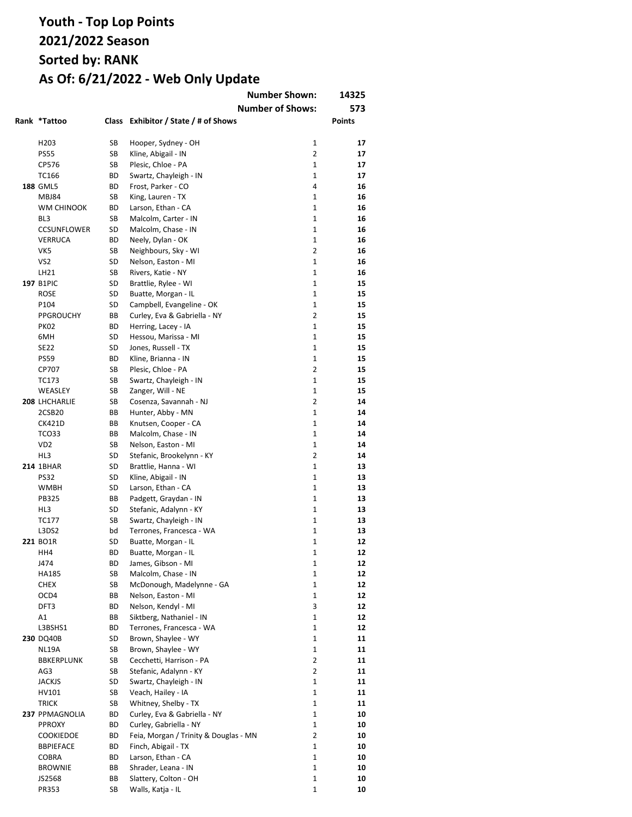|                                     |          |                                              | <b>Number Shown:</b><br><b>Number of Shows:</b> | 14325<br>573  |
|-------------------------------------|----------|----------------------------------------------|-------------------------------------------------|---------------|
| Rank *Tattoo                        |          | Class Exhibitor / State / # of Shows         |                                                 | <b>Points</b> |
| H <sub>203</sub>                    | SB       | Hooper, Sydney - OH                          | 1                                               | 17            |
| <b>PS55</b>                         | SB       | Kline, Abigail - IN                          | $\overline{2}$                                  | 17            |
| CP576                               | SB       | Plesic, Chloe - PA                           | $\mathbf{1}$                                    | 17            |
| TC166                               | ВD       | Swartz, Chayleigh - IN                       | 1                                               | 17            |
| 188 GML5                            | ВD       | Frost, Parker - CO                           | 4                                               | 16            |
| <b>MBJ84</b>                        | SB       | King, Lauren - TX                            | $\mathbf{1}$                                    | 16            |
| WM CHINOOK                          | ВD       | Larson, Ethan - CA                           | $\mathbf{1}$                                    | 16            |
| BL3                                 | SB       | Malcolm, Carter - IN                         | $\mathbf{1}$                                    | 16            |
| <b>CCSUNFLOWER</b>                  | SD       | Malcolm, Chase - IN                          | $\mathbf{1}$                                    | 16            |
| <b>VERRUCA</b>                      | ВD       | Neely, Dylan - OK                            | $\mathbf{1}$                                    | 16            |
| VK5                                 | SB       | Neighbours, Sky - WI                         | 2                                               | 16            |
| VS <sub>2</sub>                     | SD       | Nelson, Easton - MI                          | $\mathbf{1}$                                    | 16            |
| LH21                                | SB       | Rivers, Katie - NY                           | $\mathbf{1}$                                    | 16            |
| 197 B1PIC                           | SD       | Brattlie, Rylee - WI                         | $\mathbf{1}$                                    | 15            |
| <b>ROSE</b>                         | SD       | Buatte, Morgan - IL                          | $\mathbf{1}$                                    | 15            |
| P104                                | SD       | Campbell, Evangeline - OK                    | $\mathbf{1}$                                    | 15            |
| <b>PPGROUCHY</b>                    | ВB       | Curley, Eva & Gabriella - NY                 | $\overline{2}$                                  | 15            |
| <b>PK02</b>                         | ВD       | Herring, Lacey - IA                          | $\mathbf{1}$                                    | 15            |
| 6MH                                 | SD       | Hessou, Marissa - MI                         | $\mathbf{1}$                                    | 15            |
| <b>SE22</b>                         | SD       | Jones, Russell - TX                          | $\mathbf{1}$                                    | 15            |
| <b>PS59</b>                         | ВD       | Kline, Brianna - IN                          | $\mathbf{1}$                                    | 15            |
| CP707                               | SB       | Plesic, Chloe - PA                           | $\overline{2}$                                  | 15            |
| TC173                               | SB       | Swartz, Chayleigh - IN                       | $\mathbf{1}$                                    | 15            |
| WEASLEY                             | SB<br>SB | Zanger, Will - NE                            | $\mathbf{1}$<br>$\overline{2}$                  | 15<br>14      |
| 208 LHCHARLIE<br>2CSB <sub>20</sub> | ВB       | Cosenza, Savannah - NJ<br>Hunter, Abby - MN  | $\mathbf{1}$                                    | 14            |
| <b>CK421D</b>                       | ВB       | Knutsen, Cooper - CA                         | $\mathbf{1}$                                    | 14            |
| TCO33                               | BВ       | Malcolm, Chase - IN                          | $\mathbf{1}$                                    | 14            |
| VD <sub>2</sub>                     | SB       | Nelson, Easton - MI                          | $\mathbf{1}$                                    | 14            |
| HL3                                 | SD       | Stefanic, Brookelynn - KY                    | $\overline{2}$                                  | 14            |
| <b>214 1BHAR</b>                    | SD       | Brattlie, Hanna - WI                         | 1                                               | 13            |
| <b>PS32</b>                         | SD       | Kline, Abigail - IN                          | $\mathbf{1}$                                    | 13            |
| WMBH                                | SD       | Larson, Ethan - CA                           | $\mathbf{1}$                                    | 13            |
| <b>PB325</b>                        | ВB       | Padgett, Graydan - IN                        | 1                                               | 13            |
| HL3                                 | SD       | Stefanic, Adalynn - KY                       | 1                                               | 13            |
| TC177                               | SB       | Swartz, Chayleigh - IN                       | $\mathbf{1}$                                    | 13            |
| L3DS2                               | bd       | Terrones, Francesca - WA                     | $\mathbf 1$                                     | 13            |
| 221 BO1R                            | SD       | Buatte, Morgan - IL                          | $\mathbf{1}$                                    | 12            |
| HH4                                 | ВD       | Buatte, Morgan - IL                          | 1                                               | 12            |
| J474                                | ВD       | James, Gibson - MI                           | $\mathbf 1$                                     | 12            |
| HA185                               | SB       | Malcolm, Chase - IN                          | $\mathbf{1}$                                    | 12            |
| <b>CHEX</b>                         | SB       | McDonough, Madelynne - GA                    | 1                                               | 12            |
| OCD4                                | ВB       | Nelson, Easton - MI                          | 1                                               | 12            |
| DFT3                                | ВD       | Nelson, Kendyl - MI                          | 3                                               | 12            |
| A1                                  | ВB       | Siktberg, Nathaniel - IN                     | $\mathbf{1}$                                    | 12            |
| L3BSHS1                             | ВD       | Terrones, Francesca - WA                     | 1                                               | 12            |
| 230 DQ40B                           | SD       | Brown, Shaylee - WY                          | 1                                               | 11            |
| NL19A                               | SB       | Brown, Shaylee - WY                          | $\mathbf{1}$                                    | 11            |
| BBKERPLUNK                          | SB       | Cecchetti, Harrison - PA                     | $\overline{2}$                                  | 11            |
| AG3                                 | SB       | Stefanic, Adalynn - KY                       | $\overline{2}$                                  | 11            |
| JACKJS                              | SD       | Swartz, Chayleigh - IN                       | 1                                               | 11            |
| HV101                               | SB       | Veach, Hailey - IA                           | $\mathbf{1}$                                    | 11            |
| <b>TRICK</b>                        | SB       | Whitney, Shelby - TX                         | $\mathbf{1}$                                    | 11            |
| 237 PPMAGNOLIA                      | ВD       | Curley, Eva & Gabriella - NY                 | 1                                               | 10            |
| <b>PPROXY</b>                       | ВD       | Curley, Gabriella - NY                       | 1                                               | 10            |
| <b>COOKIEDOE</b>                    | ВD       | Feia, Morgan / Trinity & Douglas - MN        | $\overline{2}$                                  | 10            |
| <b>BBPIEFACE</b>                    | ВD       | Finch, Abigail - TX                          | $\mathbf{1}$                                    | 10            |
| COBRA                               | ВD       | Larson, Ethan - CA                           | $\mathbf{1}$<br>1                               | 10            |
| <b>BROWNIE</b><br>JS2568            | ВB<br>ВB | Shrader, Leana - IN<br>Slattery, Colton - OH | $\mathbf 1$                                     | 10<br>10      |
| PR353                               | SB       | Walls, Katja - IL                            | 1                                               | 10            |
|                                     |          |                                              |                                                 |               |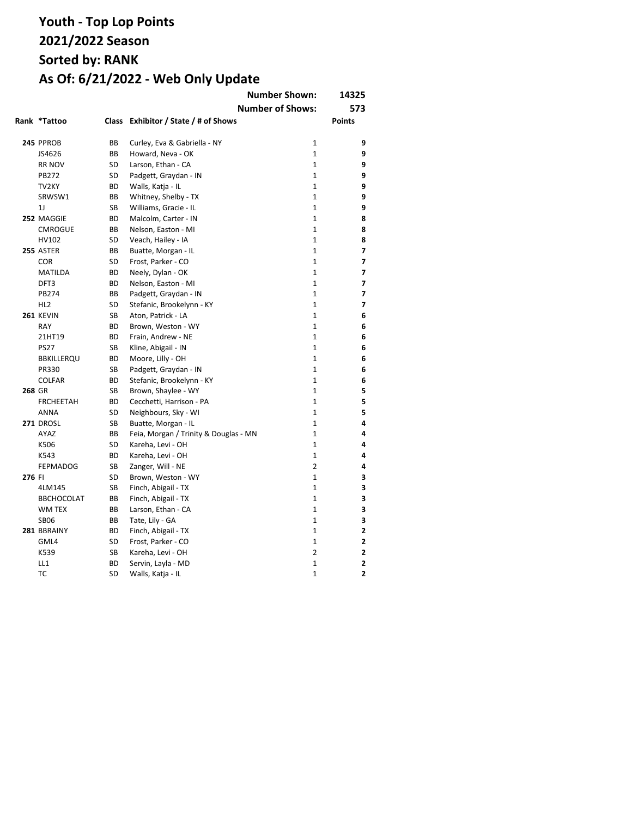|        |                   |           |                                       | <b>Number Shown:</b>    | 14325          |
|--------|-------------------|-----------|---------------------------------------|-------------------------|----------------|
|        |                   |           |                                       | <b>Number of Shows:</b> | 573            |
|        | Rank *Tattoo      |           | Class Exhibitor / State / # of Shows  |                         | <b>Points</b>  |
|        | 245 PPROB         | BB        | Curley, Eva & Gabriella - NY          | $\mathbf{1}$            | 9              |
|        | JS4626            | BB        | Howard, Neva - OK                     | $\mathbf{1}$            | 9              |
|        | <b>RR NOV</b>     | SD        | Larson, Ethan - CA                    | $\mathbf{1}$            | 9              |
|        | <b>PB272</b>      | SD        | Padgett, Graydan - IN                 | $\mathbf{1}$            | 9              |
|        | TV2KY             | <b>BD</b> | Walls, Katja - IL                     | $\mathbf{1}$            | 9              |
|        | SRWSW1            | BВ        | Whitney, Shelby - TX                  | $\mathbf{1}$            | 9              |
|        | 1J                | SB        | Williams, Gracie - IL                 | $\mathbf{1}$            | 9              |
|        | 252 MAGGIE        | <b>BD</b> | Malcolm, Carter - IN                  | $\mathbf{1}$            | 8              |
|        | <b>CMROGUE</b>    | BB        | Nelson, Easton - MI                   | $\mathbf{1}$            | 8              |
|        | HV102             | SD        | Veach, Hailey - IA                    | $\mathbf{1}$            | 8              |
|        | 255 ASTER         | BB        | Buatte, Morgan - IL                   | $\mathbf{1}$            | 7              |
|        | <b>COR</b>        | SD        | Frost, Parker - CO                    | $\mathbf{1}$            | $\overline{z}$ |
|        | <b>MATILDA</b>    | <b>BD</b> | Neely, Dylan - OK                     | $\mathbf{1}$            | 7              |
|        | DFT3              | BD        | Nelson, Easton - MI                   | $\mathbf{1}$            | 7              |
|        | <b>PB274</b>      | BB        | Padgett, Graydan - IN                 | $\mathbf{1}$            | 7              |
|        | HL <sub>2</sub>   | <b>SD</b> | Stefanic, Brookelynn - KY             | $\mathbf{1}$            | 7              |
|        | <b>261 KEVIN</b>  | SB        | Aton, Patrick - LA                    | 1                       | 6              |
|        | <b>RAY</b>        | BD        | Brown, Weston - WY                    | $\mathbf{1}$            | 6              |
|        | 21HT19            | <b>BD</b> | Frain, Andrew - NE                    | $\mathbf{1}$            | 6              |
|        | <b>PS27</b>       | SB        | Kline, Abigail - IN                   | $\mathbf{1}$            | 6              |
|        | <b>BBKILLERQU</b> | <b>BD</b> | Moore, Lilly - OH                     | $\mathbf{1}$            | 6              |
|        | PR330             | SB        | Padgett, Graydan - IN                 | $\mathbf{1}$            | 6              |
|        | <b>COLFAR</b>     | ВD        | Stefanic, Brookelynn - KY             | $\mathbf{1}$            | 6              |
| 268 GR |                   | <b>SB</b> | Brown, Shaylee - WY                   | $\mathbf{1}$            | 5              |
|        | <b>FRCHEETAH</b>  | ВD        | Cecchetti, Harrison - PA              | $\mathbf{1}$            | 5              |
|        | <b>ANNA</b>       | SD        | Neighbours, Sky - WI                  | $\mathbf{1}$            | 5              |
|        | 271 DROSL         | SB        | Buatte, Morgan - IL                   | $\mathbf{1}$            | 4              |
|        | AYAZ              | BB        | Feia, Morgan / Trinity & Douglas - MN | $\mathbf{1}$            | 4              |
|        | K506              | SD        | Kareha, Levi - OH                     | $\mathbf{1}$            | 4              |
|        | K543              | <b>BD</b> | Kareha, Levi - OH                     | $\mathbf{1}$            | 4              |
|        | <b>FEPMADOG</b>   | SB        | Zanger, Will - NE                     | 2                       | 4              |
| 276 FI |                   | <b>SD</b> | Brown, Weston - WY                    | $\mathbf{1}$            | 3              |
|        | 4LM145            | SB        | Finch, Abigail - TX                   | $\mathbf{1}$            | 3              |
|        | <b>BBCHOCOLAT</b> | BB        | Finch, Abigail - TX                   | $\mathbf{1}$            | 3              |
|        | <b>WM TEX</b>     | BB        | Larson, Ethan - CA                    | $\mathbf{1}$            | 3              |
|        | <b>SB06</b>       | BB        | Tate, Lily - GA                       | $\mathbf{1}$            | 3              |
|        | 281 BBRAINY       | ВD        | Finch, Abigail - TX                   | $\mathbf 1$             | 2              |
|        | GML4              | SD        | Frost, Parker - CO                    | $\mathbf{1}$            | $\overline{2}$ |
|        | K539              | SB        | Kareha, Levi - OH                     | $\overline{2}$          | 2              |
|        | LL1               | <b>BD</b> | Servin, Layla - MD                    | $\mathbf{1}$            | $\overline{2}$ |
|        | <b>TC</b>         | SD        | Walls, Katja - IL                     | $\mathbf{1}$            | 2              |
|        |                   |           |                                       |                         |                |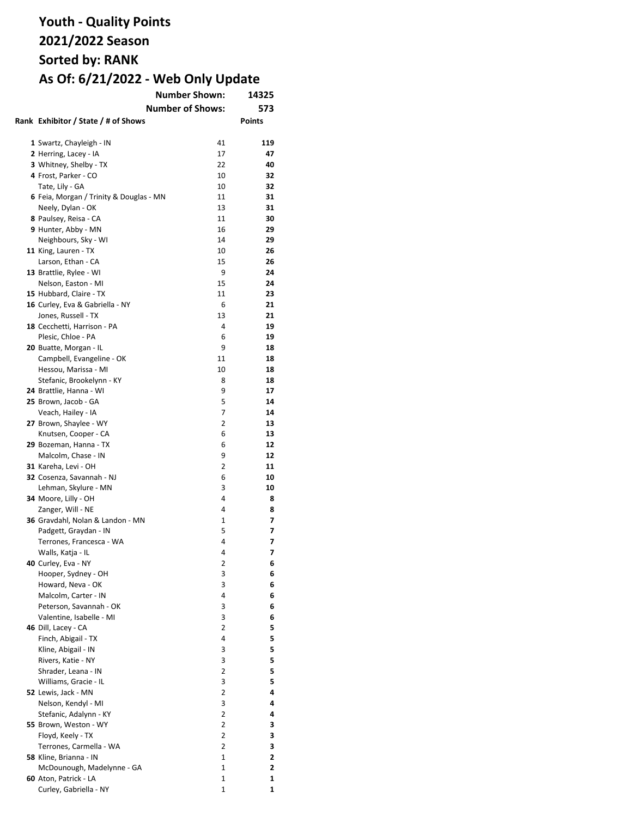|                                            | 14325                   |        |
|--------------------------------------------|-------------------------|--------|
|                                            | 573                     |        |
| Rank Exhibitor / State / # of Shows        | <b>Number of Shows:</b> | Points |
|                                            |                         |        |
|                                            |                         |        |
| 1 Swartz, Chayleigh - IN                   | 41                      | 119    |
| 2 Herring, Lacey - IA                      | 17                      | 47     |
| 3 Whitney, Shelby - TX                     | 22                      | 40     |
| 4 Frost, Parker - CO                       | 10                      | 32     |
| Tate, Lily - GA                            | 10                      | 32     |
| 6 Feia, Morgan / Trinity & Douglas - MN    | 11                      | 31     |
| Neely, Dylan - OK                          | 13                      | 31     |
| 8 Paulsey, Reisa - CA                      | 11                      | 30     |
| 9 Hunter, Abby - MN                        | 16                      | 29     |
| Neighbours, Sky - WI                       | 14                      | 29     |
| 11 King, Lauren - TX                       | 10                      | 26     |
| Larson, Ethan - CA                         | 15                      | 26     |
| 13 Brattlie, Rylee - WI                    | 9                       | 24     |
| Nelson, Easton - MI                        | 15                      | 24     |
| 15 Hubbard, Claire - TX                    | 11                      | 23     |
| 16 Curley, Eva & Gabriella - NY            | 6                       | 21     |
| Jones, Russell - TX                        | 13                      | 21     |
| 18 Cecchetti, Harrison - PA                | 4                       | 19     |
| Plesic, Chloe - PA                         | 6                       | 19     |
| 20 Buatte, Morgan - IL                     | 9                       | 18     |
| Campbell, Evangeline - OK                  | 11                      | 18     |
| Hessou, Marissa - MI                       | 10                      | 18     |
| Stefanic, Brookelynn - KY                  | 8                       | 18     |
| 24 Brattlie, Hanna - WI                    | 9                       | 17     |
|                                            | 5                       | 14     |
| 25 Brown, Jacob - GA<br>Veach, Hailey - IA | 7                       | 14     |
|                                            | 2                       | 13     |
| 27 Brown, Shaylee - WY                     | 6                       | 13     |
| Knutsen, Cooper - CA                       |                         | 12     |
| 29 Bozeman, Hanna - TX                     | 6<br>9                  | 12     |
| Malcolm, Chase - IN                        |                         |        |
| 31 Kareha, Levi - OH                       | 2                       | 11     |
| 32 Cosenza, Savannah - NJ                  | 6                       | 10     |
| Lehman, Skylure - MN                       | 3                       | 10     |
| 34 Moore, Lilly - OH                       | 4                       | 8      |
| Zanger, Will - NE                          | 4                       | 8      |
| 36 Gravdahl, Nolan & Landon - MN           | 1                       | 7      |
| Padgett, Graydan - IN                      | 5                       | 7      |
| Terrones, Francesca - WA                   | 4                       | 7      |
| Walls, Katja - IL                          | 4                       | 7      |
| 40 Curley, Eva - NY                        | 2                       | 6      |
| Hooper, Sydney - OH                        | 3                       | 6      |
| Howard, Neva - OK                          | 3                       | 6      |
| Malcolm, Carter - IN                       | 4                       | 6      |
| Peterson, Savannah - OK                    | 3                       | 6      |
| Valentine, Isabelle - MI                   | 3                       | 6      |
| 46 Dill, Lacey - CA                        | 2                       | 5      |
| Finch, Abigail - TX                        | 4                       | 5      |
| Kline, Abigail - IN                        | 3                       | 5      |
| Rivers, Katie - NY                         | 3                       | 5      |
| Shrader, Leana - IN                        | 2                       | 5      |
| Williams, Gracie - IL                      | 3                       | 5      |
| 52 Lewis, Jack - MN                        | 2                       | 4      |
| Nelson, Kendyl - MI                        | 3                       | 4      |
| Stefanic, Adalynn - KY                     | 2                       | 4      |
| 55 Brown, Weston - WY                      | 2                       | 3      |
| Floyd, Keely - TX                          | $\overline{2}$          | 3      |
| Terrones, Carmella - WA                    | $\overline{2}$          | 3      |
| 58 Kline, Brianna - IN                     | 1                       | 2      |
| McDounough, Madelynne - GA                 | 1                       | 2      |
| 60 Aton, Patrick - LA                      | 1                       | 1      |
| Curley, Gabriella - NY                     | 1                       | 1      |